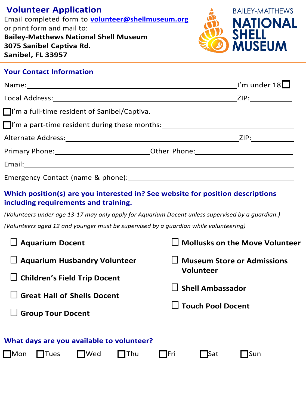**Volunteer Application** Email completed form to **[volunteer@shellmuseum.org](mailto:volunteer@shellmuseum.org)** or print form and mail to: **Bailey-Matthews National Shell Museum 3075 Sanibel Captiva Rd. Sanibel, FL 33957**



## **Your Contact Information**

|                                                                                      | Name: $\sqrt{100}$ Name: $\sqrt{20}$ Name: $\sqrt{20}$ Name: $\sqrt{20}$ Name: $\sqrt{20}$ Name: $\sqrt{20}$ Name: $\sqrt{20}$ Name: $\sqrt{20}$ Name: $\sqrt{20}$ Name: $\sqrt{20}$ Name: $\sqrt{20}$ Name: $\sqrt{20}$ Name: $\sqrt{20}$ Name: $\sqrt{20}$ Name: $\sqrt{$ |
|--------------------------------------------------------------------------------------|-----------------------------------------------------------------------------------------------------------------------------------------------------------------------------------------------------------------------------------------------------------------------------|
|                                                                                      | Local Address: XVIII and Address: XVIII and Address: XVIII and Address: XVIII and Address: XVIII and Address: XVIII and Address: XVIII and Address: XVIII and Address: XVIII and Address: XVIII and Address: XVIII and Address                                              |
| $\Box$ I'm a full-time resident of Sanibel/Captiva.                                  |                                                                                                                                                                                                                                                                             |
|                                                                                      | □I'm a part-time resident during these months:<br>□I'm a part-time resident during these months:                                                                                                                                                                            |
|                                                                                      |                                                                                                                                                                                                                                                                             |
|                                                                                      | Primary Phone: _________________________________Other Phone: ___________________                                                                                                                                                                                            |
|                                                                                      |                                                                                                                                                                                                                                                                             |
|                                                                                      | Emergency Contact (name & phone): Management and the metal and the metal of the metal and the metal of the metal of the metal and the metal of the metal of the metal of the metal of the metal of the metal of the metal of t                                              |
| including requirements and training.                                                 | Which position(s) are you interested in? See website for position descriptions                                                                                                                                                                                              |
| (Volunteers aged 12 and younger must be supervised by a quardian while volunteering) | (Volunteers under age 13-17 may only apply for Aquarium Docent unless supervised by a guardian.)                                                                                                                                                                            |
| <b>Aquarium Docent</b>                                                               | <b>Mollusks on the Move Volunteer</b>                                                                                                                                                                                                                                       |
| <b>Aquarium Husbandry Volunteer</b><br><b>Children's Field Trip Docent</b>           | <b>Museum Store or Admissions</b><br><b>Volunteer</b><br><b>Shell Ambassador</b><br><b>Touch Pool Docent</b>                                                                                                                                                                |
| <b>Great Hall of Shells Docent</b>                                                   |                                                                                                                                                                                                                                                                             |
| <b>Group Tour Docent</b>                                                             |                                                                                                                                                                                                                                                                             |
| What days are you available to volunteer?                                            |                                                                                                                                                                                                                                                                             |
| $\Box$ Mon $\Box$ Tues<br>$\Box$ Wed $\Box$ Thu                                      | $\Box$ Sat<br>$\prod$ Fri<br>$\Box$ Sun                                                                                                                                                                                                                                     |